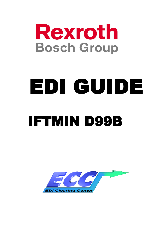

# EDI GUIDE IFTMIN D99B

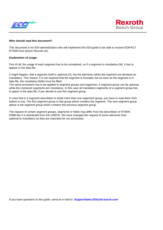



#### **Who should read this document?**

This document is for EDI-administrators who will implement this EDI-guide to be able to receive EDIFACT IFTMIN from Bosch Rexroth AG.

#### **Explanation of usage:**

First of all, the usage of each segment has to be considered, so if a segment is mandatory (M), it has to appear in the data file.

It might happen, that a segment itself is optional (O), but the elements wihtin the segment are declared as mandatory. This means, it is not required that the segment is included, but as soon as the segment is in data file, the mandatory fields must be filled.

The same procedure has to be applied to segment groups and segemnts: A segment group can be optional, while the contained segments are mandatory. In this case all mandatory segments of a segment group has to apear in the data file, if you decide to use this segment group.

In case that in a segment describtion is listed more than one segement group, you have to read them from bottom to top. The first segment group is that group which contains the segment. The next segment group above is the segment group which contains the previous segment group.

The request of certain segment groups, segments or fields may differ from the describtion of IFTMIN D99B like it is distributed from the UNECE. We have changed the request of some elements from optional to mandatory as they are important for our processes.

If you have questions to this guide, send an e-mail to: **SupportSales.EDI@de.bosch.com**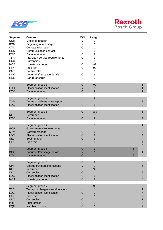



| <b>Segment</b><br><b>UNH</b><br><b>BGM</b><br><b>CTA</b><br>COM<br><b>DTM</b><br><b>TSR</b><br><b>CUX</b><br><b>MOA</b><br><b>FTX</b><br><b>CNT</b><br><b>DOC</b><br><b>GDS</b> | <b>Content</b><br>Message header<br>Beginning of message<br>Contact information<br>Communication contact<br>Date/time/period<br>Transport service requirements<br>Currencies<br>Monetary amount<br>Free text<br>Control total<br>Document/message details<br>Nature of cargo | M/O<br>M<br>M<br>O<br>O<br>O<br>$\circ$<br>$\circ$<br>$\circ$<br>O<br>O<br>$\mathsf O$<br>O | Length<br>1<br>1<br>9<br>9<br>9<br>9<br>99<br>99<br>9<br>9<br>9 |             |                                                 |
|---------------------------------------------------------------------------------------------------------------------------------------------------------------------------------|------------------------------------------------------------------------------------------------------------------------------------------------------------------------------------------------------------------------------------------------------------------------------|---------------------------------------------------------------------------------------------|-----------------------------------------------------------------|-------------|-------------------------------------------------|
| <b>LOC</b><br><b>DTM</b>                                                                                                                                                        | Segment group 1<br>Place/location identification<br>Date/time/period                                                                                                                                                                                                         | $\circ$<br>M<br>$\circ$                                                                     | 99<br>1<br>9                                                    |             | 1<br>1                                          |
| <b>TOD</b><br><b>LOC</b>                                                                                                                                                        | Segment group 2<br>Terms of delivery or transport<br>Place/location identification                                                                                                                                                                                           | $\circ$<br>M<br>O                                                                           | $\overline{2}$<br>1<br>9                                        |             | $\overline{2}$<br>$\mathbf 2$<br>$\overline{2}$ |
| <b>RFF</b><br><b>DTM</b>                                                                                                                                                        | Segment group 3<br>Reference<br>Date/time/period                                                                                                                                                                                                                             | $\circ$<br>$\circ$                                                                          | 999<br>1<br>9                                                   |             | $\ensuremath{\mathsf{3}}$<br>$\sqrt{3}$<br>3    |
| <b>GOR</b><br><b>DTM</b><br><b>LOC</b><br><b>SEL</b><br><b>FTX</b>                                                                                                              | Segment group 4<br>Governmental requirements<br>Date/time/period<br>Place/location identification<br>Seal number<br>Free text                                                                                                                                                | O<br>M<br>$\circ$<br>$\circ$<br>$\circ$<br>$\overline{O}$                                   | 9<br>1<br>9<br>9<br>9<br>9                                      |             | 4<br>4<br>4<br>4<br>4<br>4<br>4                 |
| <b>DOC</b><br><b>DTM</b>                                                                                                                                                        | Segment group 5<br>Document/message details<br>Date/time/period                                                                                                                                                                                                              | $\circ$<br>M<br>$\circ$                                                                     | 9<br>1                                                          | 5<br>5<br>5 | 4<br>4<br>4                                     |
| <b>CPI</b><br><b>RFF</b><br><b>CUX</b><br><b>LOC</b><br><b>MOA</b>                                                                                                              | Segment group 6<br>Charge payment instructions<br>Reference<br><b>Currencies</b><br>Place/location identification<br>Monetary amount                                                                                                                                         | O<br>M<br>O<br>O<br>O<br>$\circ$                                                            | 9<br>1<br>99<br>1<br>9<br>9                                     |             | 6<br>6<br>6<br>6<br>$6\phantom{1}6$<br>6        |
| <b>TCC</b><br>LOC<br><b>FTX</b><br><b>CUX</b><br>PRI<br>EQN                                                                                                                     | Segment group 7<br>Transport charge/rate calculations<br>Place/location identification<br>Free text<br>Currencies<br>Price details<br>Number of units                                                                                                                        | O<br>M<br>O<br>O<br>$\circ$<br>$\circ$<br>$\overline{O}$                                    | 99<br>1<br>1                                                    |             | 7<br>7<br>7<br>7<br>7<br>7<br>$\overline{7}$    |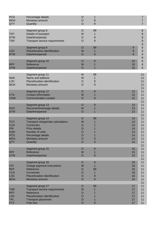| <b>PCD</b><br><b>MOA</b><br>QTY                                                                | Percentage details<br>Monetary amount<br>Quantity                                                                                                                           | $\circ$<br>$\circ$<br>$\circ$                                              | 1<br>9<br>9                 |                                              | 7<br>7<br>$\overline{7}$                     |
|------------------------------------------------------------------------------------------------|-----------------------------------------------------------------------------------------------------------------------------------------------------------------------------|----------------------------------------------------------------------------|-----------------------------|----------------------------------------------|----------------------------------------------|
| <b>TDT</b><br><b>DTM</b><br><b>TSR</b>                                                         | Segment group 8<br>Details of transport<br>Date/time/period<br>Transport service requirements                                                                               | $\circ$<br>M<br>O<br>$\circ$                                               | 99<br>1<br>9<br>9           |                                              | $\bf 8$<br>$\bf 8$<br>$\bf8$<br>$\bf8$<br>8  |
| <b>LOC</b><br><b>DTM</b>                                                                       | Segment group 9<br>Place/location identification<br>Date/time/period                                                                                                        | $\circ$<br>M<br>$\circ$                                                    | 99<br>1<br>9                | 9<br>9<br>9                                  | 8<br>$\bf 8$<br>8<br>8                       |
| <b>RFF</b><br><b>DTM</b>                                                                       | Segment group 10<br>Reference<br>Date/time/period                                                                                                                           | $\circ$<br>M<br>$\circ$                                                    | 9<br>1                      | 10<br>10<br>10                               | $\bf 8$<br>$\bf 8$<br>8                      |
| <b>NAD</b><br><b>LOC</b><br><b>MOA</b>                                                         | Segment group 11<br>Name and address<br>Place/location identification<br>Monetary amount                                                                                    | M<br>M<br>$\circ$<br>O                                                     | 99<br>1<br>9<br>9           |                                              | 11<br>11<br>11<br>11<br>11                   |
| <b>CTA</b><br><b>COM</b>                                                                       | Segment group 12<br><b>Contact information</b><br><b>Communication contact</b>                                                                                              | $\circ$<br>M<br>O                                                          | 9<br>1<br>9                 | 12<br>12<br>12                               | 11<br>11<br>11                               |
| <b>DOC</b><br><b>DTM</b>                                                                       | Segment group 13<br>Document/message details<br>Date/time/period                                                                                                            | $\circ$<br>M<br>$\circ$                                                    | $9$<br>1<br>1               | 13<br>13<br>13                               | 11<br>11<br>11<br>11<br>11                   |
| <b>TCC</b><br><b>CUX</b><br><b>PRI</b><br><b>EQN</b><br><b>PCD</b><br><b>MOA</b><br><b>QTY</b> | Segment group 14<br>Transport charge/rate calculations<br><b>Currencies</b><br><b>Price details</b><br>Number of units<br>Percentage details<br>Monetary amount<br>Quantity | O<br>M<br>O<br>$\circ$<br>O<br>$\overline{O}$<br>$\circ$<br>$\overline{O}$ | 99<br>9<br>9                | 14<br>14<br>14<br>14<br>14<br>14<br>14<br>14 | 11<br>11<br>11<br>11<br>11<br>11<br>11<br>11 |
| <b>RFF</b><br><b>DTM</b>                                                                       | Segment group 15<br>Reference<br>Date/time/period                                                                                                                           | $\circ$<br>M<br>O                                                          | 9<br>1<br>9                 | 15<br>15<br>15                               | 11<br>11<br>11<br>11                         |
| <b>CPI</b><br><b>RFF</b><br><b>CUX</b><br><b>LOC</b><br><b>MOA</b>                             | Segment group 16<br>Charge payment instructions<br>Reference<br><b>Currencies</b><br>Place/location identification<br>Monetary amount                                       | O<br>M<br>Ő<br>Ő<br>O<br>$\circ$                                           | 9<br>1<br>99<br>1<br>9<br>9 | 16<br>16<br>16<br>16<br>16<br>16             | 11<br>11<br>11<br>11<br>11<br>11<br>11       |
| <b>TSR</b><br><b>RFF</b><br><b>LOC</b><br><b>TPL</b><br><b>FTX</b>                             | Segment group 17<br><b>Transport service requirements</b><br>Reference<br>Place/location identification<br><b>Transport placement</b><br>Free text                          | O<br>M<br>O<br>$\circ$<br>$\circ$<br>$\circ$                               | 99<br>9                     | 17<br>17<br>17<br>17<br>17<br>17             | 11<br>11<br>11<br>11<br>11<br>11<br>11       |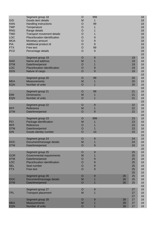| <b>GID</b><br><b>HAN</b><br><b>TMP</b><br><b>RNG</b><br><b>TMD</b><br><b>LOC</b><br><b>MOA</b><br><b>PIA</b><br><b>FTX</b><br><b>PCD</b> | Segment group 18<br>Goods item details<br>Handling instructions<br>Temperature<br>Range details<br>Transport movement details<br>Place/location identification<br>Monetary amount<br>Additional product id<br>Free text<br>Percentage details | $\circ$<br>M<br>$\circ$<br>O<br>O<br>O<br>$\circ$<br>$\circ$<br>$\circ$<br>$\circ$<br>$\overline{O}$ | 999<br>1<br>99<br>1<br>1<br>1<br>9<br>9<br>9<br>99<br>$9\,$ |                |                                        | 18<br>18<br>18<br>18<br>18<br>18<br>18<br>18<br>18<br>18<br>18<br>18 |
|------------------------------------------------------------------------------------------------------------------------------------------|-----------------------------------------------------------------------------------------------------------------------------------------------------------------------------------------------------------------------------------------------|------------------------------------------------------------------------------------------------------|-------------------------------------------------------------|----------------|----------------------------------------|----------------------------------------------------------------------|
| <b>NAD</b><br><b>DTM</b><br><b>LOC</b><br><b>GDS</b>                                                                                     | Segment group 19<br>Name and address<br>Date/time/period<br>Place/location identification<br>Nature of cargo                                                                                                                                  | $\circ$<br>M<br>$\circ$<br>$\circ$<br>$\overline{O}$                                                 | 9<br>1<br>1<br>9<br>9                                       |                | 19<br>19<br>19<br>19<br>19             | 18<br>18<br>18<br>18<br>18<br>18                                     |
| <b>MEA</b><br><b>EQN</b>                                                                                                                 | Segment group 20<br><b>Measurements</b><br>Number of units                                                                                                                                                                                    | $\circ$<br>M<br>$\circ$                                                                              | 99<br>1<br>$\mathbf 1$                                      |                | 20<br>20<br>20                         | 18<br>18<br>18<br>18                                                 |
| <b>DIM</b><br><b>EQN</b>                                                                                                                 | Segment group 21<br><b>Dimensions</b><br>Number of units                                                                                                                                                                                      | $\circ$<br>M<br>$\circ$                                                                              | 99<br>1<br>$\mathbf 1$                                      |                | 21<br>21<br>21                         | 18<br>18<br>18<br>18                                                 |
| <b>RFF</b><br><b>DTM</b>                                                                                                                 | Segment group 22<br>Reference<br>Date/time/period                                                                                                                                                                                             | $\circ$<br>M<br>$\circ$                                                                              | 9<br>$\mathbf 1$<br>9                                       |                | 22<br>22<br>22                         | 18<br>18<br>18<br>18                                                 |
| <b>PCI</b><br><b>RFF</b><br><b>DTM</b><br><b>GIN</b>                                                                                     | Segment group 23<br>Package identification<br>Reference<br>Date/time/period<br>Goods identity number                                                                                                                                          | $\circ$<br>M<br>O<br>$\circ$<br>$\overline{O}$                                                       | 999<br>1<br>1<br>1<br>10                                    |                | 23<br>23<br>23<br>23<br>23             | 18<br>18<br>18<br>18<br>18<br>18                                     |
| <b>DOC</b><br><b>DTM</b>                                                                                                                 | Segment group 24<br>Document/message details<br>Date/time/period                                                                                                                                                                              | O<br>M<br>$\circ$                                                                                    | 9<br>$\mathsf 9$                                            |                | 24<br>24<br>24                         | 18<br>18<br>18<br>18                                                 |
| <b>GOR</b><br><b>DTM</b><br><b>LOC</b><br><b>SEL</b><br><b>FTX</b>                                                                       | Segment group 25<br>Governmental requirements<br>Date/time/period<br>Place/location identification<br>Seal number<br>Free text                                                                                                                | $\circ$<br>M<br>O<br>O<br>O<br>$\circ$                                                               | $\boldsymbol{9}$<br>1<br>9<br>9<br>9<br>$\overline{9}$      |                | 25<br>25<br>25<br>25<br>25<br>25<br>25 | 18<br>18<br>18<br>18<br>18<br>18<br>18                               |
| <b>DOC</b><br><b>DTM</b>                                                                                                                 | Segment group 26<br>Document/message details<br>Date/time/period                                                                                                                                                                              | $\circ$<br>M<br>$\circ$                                                                              | 9                                                           | 26<br>26<br>26 | 25<br>25<br>25                         | 18<br>18<br>18<br>18                                                 |
| <b>TPL</b>                                                                                                                               | Segment group 27<br><b>Transport placement</b>                                                                                                                                                                                                | $\circ$<br>M                                                                                         | 9<br>1                                                      |                | 27<br>27<br>27                         | 18<br>18<br>18                                                       |
| <b>MEA</b><br><b>EQN</b>                                                                                                                 | Segment group 28<br><b>Measurements</b><br>Number of units                                                                                                                                                                                    | $\circ$<br>M<br>$\circ$                                                                              | 9<br>1                                                      | 28<br>28<br>28 | 27<br>27<br>27                         | 18<br>18<br>18                                                       |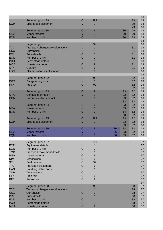|                          |                                           |                    |                           |    |          |          | 18       |
|--------------------------|-------------------------------------------|--------------------|---------------------------|----|----------|----------|----------|
| <b>SGP</b>               | Segment group 29                          | O<br>M             | 999                       |    |          | 29<br>29 | 18<br>18 |
|                          | Split goods placement                     |                    | 1                         |    |          | 29       | 18       |
|                          | Segment group 30                          | $\circ$            | $\overline{9}$            |    | 30       | 29       | 18       |
| <b>MEA</b>               | <b>Measurements</b>                       | M                  |                           |    | 30       | 29       | 18       |
| <b>EQN</b>               | Number of units                           | $\circ$            |                           |    | 30       | 29       | 18<br>18 |
|                          | Segment group 31                          | $\circ$            | 99                        |    |          | 31       | 18       |
| <b>TCC</b>               | Transport charge/rate calculations        | M                  | 1                         |    |          | 31       | 18       |
| <b>CUX</b>               | <b>Currencies</b>                         | O                  |                           |    |          | 31       | 18       |
| <b>PRI</b><br><b>EQN</b> | <b>Price details</b><br>Number of units   | $\circ$            |                           |    |          | 31       | 18<br>18 |
| <b>PCD</b>               | Percentage details                        | $\circ$<br>$\circ$ |                           |    |          | 31<br>31 | 18       |
| <b>MOA</b>               | Monetary amount                           | $\circ$            | 9                         |    |          | 31       | 18       |
| <b>QTY</b>               | Quantity                                  | $\circ$            | $\boldsymbol{9}$          |    |          | 31       | 18       |
| <b>LOC</b>               | Place/location identification             | $\overline{O}$     | 9                         |    |          | 31       | 18       |
|                          |                                           |                    |                           |    |          |          | 18       |
| <b>DGS</b>               | Segment group 32<br>Dangerous goods       | $\circ$<br>M       | 99<br>$\mathbf 1$         |    |          | 32<br>32 | 18<br>18 |
| <b>FTX</b>               | Free text                                 | $\circ$            | 99                        |    |          | 32       | 18       |
|                          |                                           |                    |                           |    |          | 32       | 18       |
|                          | Segment group 33                          | $\circ$            | $\overline{9}$            |    | 33       | 32       | 18       |
| <b>CTA</b>               | <b>Contact information</b>                | M                  | 1                         |    | 33       | 32       | 18       |
| <b>COM</b>               | <b>Communication contact</b>              | $\circ$            | 9                         |    | 33<br>33 | 32<br>32 | 18<br>18 |
|                          | Segment group 34                          | O                  | $\overline{9}$            |    | 33       | 32       | 18       |
| <b>MEA</b>               | <b>Measurements</b>                       | M                  | 1                         |    | 33       | 32       | 18       |
| <b>EQN</b>               | Number of units                           | $\circ$            | 1                         |    | 33       | 32       | 18       |
|                          |                                           |                    |                           |    | 33       | 32       | 18       |
| <b>SGP</b>               | Segment group 35<br>Split goods placement | $\circ$<br>M       | 999<br>1                  |    | 33<br>33 | 32<br>32 | 18<br>18 |
|                          |                                           |                    |                           |    | 33       | 32       | 18       |
|                          | Segment group 36                          | O                  | 9                         | 36 | 33       | 32       | 18       |
| <b>MEA</b>               | <b>Measurements</b>                       | M                  |                           | 36 | 33       | 32       | 18       |
| <b>EQN</b>               | Number of units                           | $\overline{O}$     |                           | 36 | 33       | 32       | 18       |
|                          | Segment group 37                          | O                  | 999                       |    |          |          | 37       |
| <b>EQD</b>               | <b>Equipment details</b>                  | M                  |                           |    |          |          | 37       |
| <b>EQN</b>               | Number of units                           | O                  | 1                         |    |          |          | 37       |
| <b>TMD</b>               | Transport movement details                | O                  | 1                         |    |          |          | 37       |
| <b>MEA</b><br><b>DIM</b> | <b>Measurements</b><br><b>Dimensions</b>  | O<br>$\circ$       | $\boldsymbol{9}$<br>$9\,$ |    |          |          | 37<br>37 |
| <b>SEL</b>               | Seal number                               | $\circ$            | 99                        |    |          |          | 37       |
| <b>TPL</b>               | <b>Transport placement</b>                | $\circ$            | 9                         |    |          |          | 37       |
| <b>HAN</b>               | <b>Handling instructions</b>              | $\circ$            | 1                         |    |          |          | 37       |
| <b>TMP</b>               | Temperature                               | $\circ$            | 1                         |    |          |          | 37       |
| <b>FTX</b>               | Free text                                 | $\circ$            | $\boldsymbol{9}$          |    |          |          | 37       |
| <b>RFF</b>               | Reference                                 | $\circ$            | 9                         |    |          |          | 37<br>37 |
|                          | Segment group 38                          | O                  | 99                        |    |          | 38       | 37       |
| <b>TCC</b>               | Transport charge/rate calculations        | M                  |                           |    |          | 38       | 37       |
| <b>CUX</b>               | <b>Currencies</b>                         | $\circ$            |                           |    |          | 38       | 37       |
| PRI                      | Price details                             | $\circ$            |                           |    |          | 38       | 37       |
| <b>EQN</b><br><b>PCD</b> | Number of units<br>Percentage details     | $\circ$<br>$\circ$ |                           |    |          | 38<br>38 | 37<br>37 |
| <b>MOA</b>               | Monetary amount                           | $\overline{O}$     | 9                         |    |          | 38       | 37       |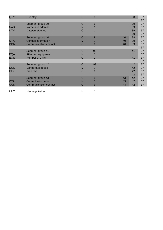| QTY        | Quantity                     | O       | 9  |    | 38 | 37 |
|------------|------------------------------|---------|----|----|----|----|
|            |                              |         |    |    |    | 37 |
|            | Segment group 39             | O       | 9  |    | 39 | 37 |
| <b>NAD</b> | Name and address             | M       |    |    | 39 | 37 |
| <b>DTM</b> | Date/time/period             | O       |    |    | 39 | 37 |
|            |                              |         |    |    | 39 | 37 |
|            | Segment group 40             | O       | 9  | 40 | 39 | 37 |
| <b>CTA</b> | <b>Contact information</b>   | M       |    | 40 | 39 | 37 |
| <b>COM</b> | <b>Communication contact</b> | O       | 9  | 40 | 39 | 37 |
|            |                              |         |    |    |    | 37 |
|            | Segment group 41             | O       | 99 |    | 41 | 37 |
| <b>EQA</b> | Attached equipment           | M       |    |    | 41 | 37 |
| <b>EQN</b> | Number of units              | O       |    |    | 41 | 37 |
|            |                              |         |    |    |    | 37 |
|            | Segment group 42             | O       | 99 |    | 42 | 37 |
| <b>DGS</b> | Dangerous goods              | M       |    |    | 42 | 37 |
| <b>FTX</b> | Free text                    | $\circ$ | 9  |    | 42 | 37 |
|            |                              |         |    |    | 42 | 37 |
|            | Segment group 43             | O       | 9  | 43 | 42 | 37 |
| <b>CTA</b> | <b>Contact information</b>   | M       |    | 43 | 42 | 37 |
| <b>COM</b> | <b>Communication contact</b> | O       | 9  | 43 | 42 | 37 |
|            |                              |         |    |    |    |    |

UNT Message trailer

1

M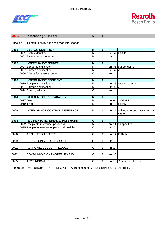



| <b>UNB</b>  | <b>Interchange Header</b>                     | M              | 1                       |          |                                             |
|-------------|-----------------------------------------------|----------------|-------------------------|----------|---------------------------------------------|
| Function    | To start, identify and specify an interchange |                |                         |          |                                             |
| <b>S001</b> | <b>SYNTAX IDENTIFIER</b>                      | M              | $\overline{1}$          |          |                                             |
|             | 0001 Syntax identifier                        | M              |                         | an.4     | <b>UNOB</b>                                 |
|             | 0002 Syntax version number                    | M              |                         | a.1      | $\overline{2}$                              |
|             |                                               |                |                         |          |                                             |
| <b>S002</b> | <b>INTERCHANGE SENDER</b>                     | M              | $\mathbf{1}$            |          |                                             |
|             | 0004 Sender identification                    | M              |                         |          | an35 our sender ID                          |
|             | 0007 Partner identification                   | M              |                         | an.4     | <b>ZZ</b>                                   |
|             | 0008 Adress for reverse routing               | $\overline{O}$ |                         | an. $14$ |                                             |
|             |                                               |                |                         |          |                                             |
| <b>S003</b> | <b>INTERCHANGE RECIPIENT</b>                  | M              | $\overline{\mathbf{1}}$ |          |                                             |
|             | 0010 Recipient Identification                 | M              |                         |          | an35 your receiver ID                       |
|             | 0007 Partner identification                   | M              |                         | an.4     | <b>ZZ</b>                                   |
|             | 0014 Routing adress                           | $\circ$        |                         | an14     |                                             |
|             |                                               |                |                         |          |                                             |
| <b>S004</b> | <b>DATE/TIME OF PREPARATION</b>               | M              | $\overline{1}$          |          |                                             |
| 0017        | Date                                          | M              |                         | n.6      | YYMMDD                                      |
|             | 0019 Time                                     | M              |                         | n.A      | <b>HHMM</b>                                 |
|             |                                               |                |                         |          |                                             |
| 0020        | INTERCHANGE CONTROL REFERENCE                 | M              | $\mathbf{1}$            |          | an14 unique reference assigned by<br>sender |
|             |                                               |                |                         |          |                                             |
| <b>S005</b> | <b>RECIPIENTS REFERENCE, PASSWORD</b>         | $\mathbf{o}$   | $\mathbf{1}$            |          |                                             |
|             | 0022 Recipients reference, password           | M              |                         |          | an14 as specified                           |
|             | 0025 Recipients reference, password qualifier | $\circ$        |                         | an.2     |                                             |
|             |                                               |                |                         |          |                                             |
| 0026        | <b>APPLICATION REFERENCE</b>                  | $\circ$        | 1                       |          | an14 IFTMIN                                 |
|             |                                               |                |                         |          |                                             |
| 0029        | PROCESSING PRIORITY CODE                      | $\Omega$       | 1                       | an.1     |                                             |
|             |                                               |                |                         |          |                                             |
| 0031        | ACKNOWLEDGEMENT REQUEST                       | $\circ$        | $\mathbf{1}$            | n.1      |                                             |
|             |                                               |                |                         |          |                                             |
| 0032        | COMMUNICATIONS AGREEMENT ID                   | $\circ$        | $\mathbf{1}$            | an35     |                                             |
|             |                                               |                |                         |          |                                             |
| 0035        | <b>TEST INDICATOR</b>                         | $\circ$        | $\mathbf 1$             | n.1      | "1" in case of a test                       |

**Example:** UNB+UNOB:2+BOSCH REXROTH:ZZ+9999999999:ZZ+060101:1300+00091++IFTMIN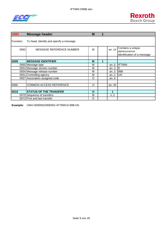



| <b>UNH</b>  | <b>Message header</b>                   | M            |   |       |                                                                    |
|-------------|-----------------------------------------|--------------|---|-------|--------------------------------------------------------------------|
| Function:   | To head, identify and specify a message |              |   |       |                                                                    |
| 0062        | MESSAGE REFERENCE NUMBER                | M            |   | an.14 | Contains a unique<br>alphanumerical<br>identification of a message |
|             |                                         |              |   |       |                                                                    |
| <b>S009</b> | <b>MESSAGE IDENTIFIER</b>               | M            | 1 |       |                                                                    |
|             | 0065 Message type                       | М            |   | an.6  | <b>IFTMIN</b>                                                      |
|             | 0052 Message version number             | M            |   | an.3  | ID                                                                 |
|             | 0054 Message release number             | M            |   | an.3  | 99B                                                                |
|             | 0051 Controlling agency                 | M            |   | an.2  | <b>UN</b>                                                          |
|             | 0057 Association assigned code          | O            |   | an.6  |                                                                    |
|             |                                         |              |   |       |                                                                    |
| 0068        | <b>COMMON ACCESS REFERENCE</b>          | O            |   | an35  |                                                                    |
|             |                                         |              |   |       |                                                                    |
| <b>S010</b> | <b>STATUS OF THE TRANSFER</b>           | $\mathbf{o}$ |   | 1     |                                                                    |
|             | 0070 Sequence of transfers              | M            |   | n2    |                                                                    |
|             | 0073 First and last transfer            | O            |   |       |                                                                    |

**Example:** UNH+00000910000001+IFTMIN:D:99B:UN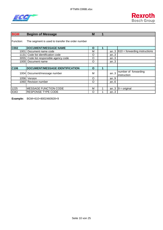



| <b>BGM</b>       | <b>Beginn of Message</b>                         | M |   |        |                                     |
|------------------|--------------------------------------------------|---|---|--------|-------------------------------------|
| Function:        | The segment is used to transfer the order number |   |   |        |                                     |
| C002             | <b>DOCUMENT/MESSAGE NAME</b>                     | O |   |        |                                     |
| 1001 l           | Document name code                               | М |   | an.3   | $610 =$ forwarding instructions     |
|                  | 1131 Code list identification code               | O |   | an.3   |                                     |
|                  | 3055 Code list responsible agency code           | O |   | an.3   |                                     |
|                  | 1000 Document name                               | O |   | an $3$ |                                     |
|                  |                                                  |   |   |        |                                     |
| C <sub>106</sub> | DOCUMENT/MESSAGE IDENTIFICATION                  | O | 1 |        |                                     |
| 1004 <b>1</b>    | Document/message number                          | М |   | an.3   | number of forwarding<br>instruction |
|                  | 1056 Version                                     | O |   | an.9   |                                     |
|                  | 1060 Revision number                             | O |   | an $6$ |                                     |
|                  |                                                  |   |   |        |                                     |
| 1225             | <b>MESSAGE FUNCTION CODE</b>                     | М |   | an.3   | $9 =$ original                      |
| 4343             | <b>RESPONSE TYPE CODE</b>                        | Ω |   | an.3   |                                     |

**Example:** BGM+610+8002460928+9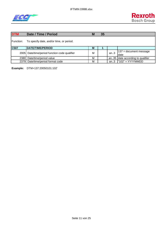



| <b>DTM</b> | Date / Time / Period                          | M | 35 |      |                                   |
|------------|-----------------------------------------------|---|----|------|-----------------------------------|
| Function:  | To specify date, and/or time, or period.      |   |    |      |                                   |
| C507       | DATE/TIME/PERIOD                              | м |    |      |                                   |
|            | 2005 Date/time/period function code qualifier | M |    | an.3 | $137$ = document message<br>Idate |
| 2380I      | Date/time/period value                        | м |    |      | an35 date according to qualifier  |
| 2379I      | Date/time/period format code                  | M |    | an.3 | $"102" = YYYYMMDD$                |

**Example:** DTM+137:20050101:102'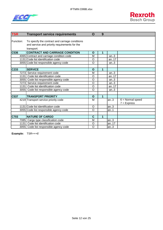



| <b>TSR</b> | <b>Transport service requirements</b>                                                                          | O            | 9 |      |                                     |
|------------|----------------------------------------------------------------------------------------------------------------|--------------|---|------|-------------------------------------|
| Function:  | To specify the contract and carriage conditions<br>and service and priority requirements for the<br>transport. |              |   |      |                                     |
| C536       | <b>CONTRACT AND CARRIAGE CONDITION</b>                                                                         | $\mathbf O$  | 1 |      |                                     |
|            | 4065 Contract and carriage condition code                                                                      | M            |   | an.3 |                                     |
|            | 1131 Code list identification code                                                                             | $\circ$      |   | an17 |                                     |
|            | 3055 Code list responsible agency code                                                                         | $\circ$      |   | an.3 |                                     |
|            |                                                                                                                |              |   |      |                                     |
| C233       | <b>SERVICE</b>                                                                                                 | $\mathbf O$  | 1 |      |                                     |
|            | 7273 Service requirement code                                                                                  | M            |   | an.3 |                                     |
|            | 1131 Code list identification code                                                                             | $\circ$      |   | an17 |                                     |
|            | 3055 Code list responsible agency code                                                                         | O            |   | an.3 |                                     |
|            | 7273 Service requirement code                                                                                  | $\circ$      |   | an.3 |                                     |
|            | 1131 Code list identification code                                                                             | O            |   | an17 |                                     |
|            | 3055 Code list responsible agency code                                                                         | $\circ$      |   | an.3 |                                     |
|            |                                                                                                                |              |   |      |                                     |
| C537       | <b>TRANSPORT PRIORITY</b>                                                                                      | $\mathbf{o}$ | 1 |      |                                     |
|            | 4219 Transport service priority code                                                                           | M            |   | an.3 | $6 =$ Normal speed<br>$7 =$ Express |
|            | 1131 Code list identification code                                                                             | $\circ$      |   | an.3 |                                     |
|            | 3055 Code list responsible agency code                                                                         | O            |   | an.1 |                                     |
|            |                                                                                                                |              |   |      |                                     |
| C703       | <b>NATURE OF CARGO</b>                                                                                         | $\mathbf c$  | 1 |      |                                     |
|            | 7085 Cargo type classification code                                                                            | M            |   | an.3 |                                     |
|            | 1131 Code list identification code                                                                             | $\circ$      |   | an17 |                                     |
|            | 3055 Code list responsible agency code                                                                         | $\circ$      |   | an.3 |                                     |

**Example:** TSR+++6'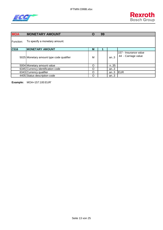



| <b>MOA</b> | <b>MONETARY AMOUNT</b>                   | O | 99 |      |                                              |
|------------|------------------------------------------|---|----|------|----------------------------------------------|
| Function:  | To specify a monetary amount.            |   |    |      |                                              |
| C516       | <b>MONETARY AMOUNT</b>                   | M |    |      |                                              |
|            | 5025 Monetary amount type code qualifier | M |    | an.3 | 157 - Insurance value<br>44 - Carriage value |
|            | 5004 Monetary amount value               | O |    | n.35 |                                              |
|            | 6345 Currency identification code        | O |    | an.3 |                                              |
|            | 6343 Currency qualifier                  | Ω |    | an.3 | <b>EUR</b>                                   |
|            | 4405 Status description code             | Ω |    | an.3 |                                              |

**Example:** MOA+157:100:EUR'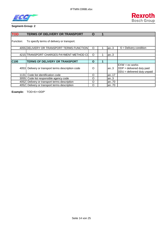



| <b>TOD</b>       | <b>TERMS OF DELIVERY OR TRANSPORT</b>             | O |      |                                                                                           |
|------------------|---------------------------------------------------|---|------|-------------------------------------------------------------------------------------------|
| Function:        | To specify terms of delivery or transport.        |   |      |                                                                                           |
|                  | 4055 DELIVERY OR TRANSPORT TERMS FUNCTION         | O | an.3 | $6$ = Delivery condition                                                                  |
|                  |                                                   |   |      |                                                                                           |
|                  | 4215 TRANSPORT CHARGES PAYMENT METHOD CO          | O | an.3 |                                                                                           |
|                  |                                                   |   |      |                                                                                           |
| C <sub>100</sub> | <b>TERMS OF DELIVERY OR TRANSPORT</b>             | O |      |                                                                                           |
|                  | 4053 Delivery or transport terms description code | O | lan3 | $EXW = ex$ works<br>$\overline{DDP}$ = delivered duty paid<br>DDU = delivered duty unpaid |
| 1131 l           | Code list identification code                     | O | an17 |                                                                                           |
| 3055I            | Code list responsible agency code                 | O | lan3 |                                                                                           |
| 4052             | Delivery or transport terms description           | O | an70 |                                                                                           |
|                  | 4052 Delivery or transport terms description      | O | an70 |                                                                                           |

**Example:** TOD+6++DDP'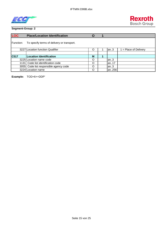



| <b>LOC</b> | <b>Place/Location Identification</b>       | O |       |                       |
|------------|--------------------------------------------|---|-------|-----------------------|
| Function:  | To specify terms of delivery or transport. |   |       |                       |
|            | 3227 Location function Qualifier           | O | an.3  | $=$ Place of Delivery |
|            |                                            |   |       |                       |
| C517       | <b>Location Identification</b>             | M |       |                       |
|            | 3225 Location name code                    | Ω | an.3  |                       |
|            | 1131 Code list identification code         | Ω | an17  |                       |
|            | 3055 Code list responsible agency code     | Ω | an.3  |                       |
|            | 3224 Location name                         | Ω | an256 |                       |

**Example:** TOD+6++DDP'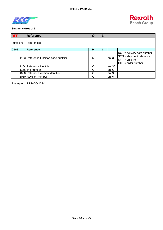



| <b>RFF</b> | <b>Reference</b>                        | O        |        |                                                                                                                |
|------------|-----------------------------------------|----------|--------|----------------------------------------------------------------------------------------------------------------|
| Function:  | References                              |          |        |                                                                                                                |
| C506       | <b>Reference</b>                        | M        |        |                                                                                                                |
|            | 1153 Reference funcition code qualifier | M        | an.3   | $DQ =$ delivery note number<br>SRN = shipment reference<br>$=$ ship from<br><b>SF</b><br>= order number<br>CO. |
|            | 1154 Reference identifier               | O        | an35   |                                                                                                                |
|            | 1156 line number                        | $\Omega$ | an $6$ |                                                                                                                |
|            | 4000 Refernece version identifier       | O        | an35   |                                                                                                                |
|            | 1060 Revision number                    | Ω        | an.6   |                                                                                                                |

**Example:** RFF+DQ:1234'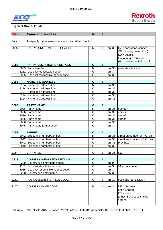



#### **Segment Group: 11 (M)**

| <b>NAD</b>  |      | <b>Name and address</b>                                | M                  | 1              |      |                                                                                                                                                         |
|-------------|------|--------------------------------------------------------|--------------------|----------------|------|---------------------------------------------------------------------------------------------------------------------------------------------------------|
| Function:   |      | To specify the name/address and their related function |                    |                |      |                                                                                                                                                         |
| 3035        |      | PARTY FUNCTION CODE QUALIFIER                          | Μ                  | 1              | an.3 | $CZ = \text{consignor}$ (sender)<br>$CN = \text{consquare}$ (ship to)<br>$SU =$ supplier<br>$FW = freight$ forwarder<br>$PF = receiver$ of freight bill |
| C082        |      | <b>PARTY IDENTIFICATION DETAILS</b>                    | $\mathbf{o}$       | 1              |      |                                                                                                                                                         |
|             |      | 3039 Party identifier                                  | M                  |                | an35 | party identification                                                                                                                                    |
|             |      | 1131 Code list identification code                     | O                  |                | an.3 |                                                                                                                                                         |
|             |      | 3055 Code list responsible agency code                 | O                  |                | an.3 |                                                                                                                                                         |
|             |      |                                                        |                    |                |      |                                                                                                                                                         |
| C058        |      | <b>NAME AND ADDRESS</b>                                | $\mathbf{o}$       | $\mathbf{1}$   |      |                                                                                                                                                         |
|             |      | 3124 Name and address line                             | M                  |                | an35 |                                                                                                                                                         |
|             |      | 3124 Name and address line                             | $\overline{\rm o}$ |                | an35 |                                                                                                                                                         |
|             |      | 3124 Name and address line                             | $\overline{\rm o}$ |                | an35 |                                                                                                                                                         |
|             |      | 3124 Name and address line                             | O                  |                | an35 |                                                                                                                                                         |
|             |      | 3124 Name and address line                             | $\overline{O}$     |                | an35 |                                                                                                                                                         |
|             |      |                                                        |                    |                |      |                                                                                                                                                         |
| <b>C080</b> |      | <b>PARTY NAME</b>                                      | $\mathbf{o}$       | 1              |      |                                                                                                                                                         |
|             |      | 3036 Party name                                        | M                  |                | an35 | name1                                                                                                                                                   |
|             |      | 3036 Party name                                        | O                  |                | an35 | name2                                                                                                                                                   |
|             |      | 3036 Party name                                        | O                  |                | an35 | name3                                                                                                                                                   |
|             |      | 3036 Party name                                        | O                  |                | an35 | name4                                                                                                                                                   |
|             |      | 3036 Party name                                        | O                  |                | an35 |                                                                                                                                                         |
|             |      | 3045 Party name format code                            | $\circ$            |                | an.3 |                                                                                                                                                         |
| C059        |      | <b>STREET</b>                                          |                    | 1              |      |                                                                                                                                                         |
|             |      | 3042 Street and number/p.o. box                        | $\mathbf{o}$<br>M  |                | an35 | street an number or P.O. box                                                                                                                            |
|             |      | 3042 Street and number/p.o. box                        | $\circ$            |                | an35 | street an number or P.O. box                                                                                                                            |
|             |      | 3042 Street and number/p.o. box                        | O                  |                | an35 | P.O. box                                                                                                                                                |
|             | 3042 | Street and number/p.o. box                             | $\overline{O}$     |                | an35 |                                                                                                                                                         |
|             |      |                                                        |                    |                |      |                                                                                                                                                         |
| 3164        |      | <b>CITY NAME</b>                                       | O                  | 1              | an35 | city                                                                                                                                                    |
|             |      |                                                        |                    |                |      |                                                                                                                                                         |
| C819        |      | <b>COUNTRY SUB-ENTITY DETAILS</b>                      | $\mathbf{o}$       | $\overline{1}$ |      |                                                                                                                                                         |
|             |      | 3229 Country sub-entity name code                      | O                  |                | an.9 |                                                                                                                                                         |
|             |      | 1131 Code list identification code                     | O                  |                | an.3 | $84 = state code$                                                                                                                                       |
|             |      | 3055 Code list responsible agency code                 | O                  |                | an.3 |                                                                                                                                                         |
|             |      | 3228 Country sub-entity name                           | $\circ$            |                | an35 |                                                                                                                                                         |
|             |      |                                                        |                    |                |      |                                                                                                                                                         |
| 3251        |      | POSTAL IDENTIFICATION CODE                             | $\circ$            | 1              | an17 | postcode identification                                                                                                                                 |
|             |      |                                                        |                    |                |      |                                                                                                                                                         |
| 3207        |      | <b>COUNTRY NAME CODE</b>                               | M                  | $\mathbf{1}$   | an.3 | $DE = German$<br>$EN =$ English<br>$FR = French$<br>(other ISO-Codes can be<br>agreed)                                                                  |

**Example:** NAD+CZ+123456++Bosch Rexroth AG:BRI Lohr+Bürgermeister Dr. Nebel Str.+Lohr++97816+DE'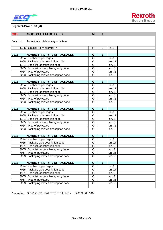



#### **Segment-Group: 18 (M)**

| <b>GID</b>       | <b>GOODS ITEM DETAILS</b>                                     | M                       | 1            |              |  |
|------------------|---------------------------------------------------------------|-------------------------|--------------|--------------|--|
|                  |                                                               |                         |              |              |  |
| Function:        | To indicate totals of a goods item.                           |                         |              |              |  |
|                  | 1496 GOODS ITEM NUMBER                                        | O                       | 1            | $n_{.}.5$    |  |
|                  |                                                               |                         |              |              |  |
| C213             | <b>NUMBER AND TYPE OF PACKAGES</b>                            | $\mathbf{o}$            | 1            |              |  |
|                  | 7224 Number of packages                                       | O                       |              | n.8          |  |
|                  | 7065 Package type description code                            | $\circ$                 |              | an.17        |  |
|                  | 1131 Code list identification code                            | O                       |              | an.3         |  |
|                  | 3055 Code list responsible agency code                        | $\overline{O}$          |              | an.3         |  |
|                  | 7064 Type of packages                                         | $\mathsf O$             |              | an35         |  |
|                  | 7233 Packaging related description code                       | O                       |              | an.3         |  |
| C213             | <b>NUMBER AND TYPE OF PACKAGES</b>                            | $\mathbf{o}$            | 1            |              |  |
|                  | 7224 Number of packages                                       | O                       |              | n.8          |  |
|                  | 7065 Package type description code                            | O                       |              | an17         |  |
|                  | 1131 Code list identification code                            | $\overline{O}$          |              | an.3         |  |
|                  | 3055 Code list responsible agency code                        | $\circ$                 |              | an.3         |  |
|                  | 7064 Type of packages                                         | O                       |              | an35         |  |
|                  | 7233 Packaging related description code                       | $\overline{\rm o}$      |              | an.3         |  |
|                  |                                                               |                         |              |              |  |
| C213             | <b>NUMBER AND TYPE OF PACKAGES</b>                            | $\mathbf{o}$            | $\mathbf{1}$ |              |  |
|                  | 7224 Number of packages                                       | O                       |              | n.8          |  |
|                  | 7065 Package type description code                            | $\overline{\rm o}$      |              | an17         |  |
|                  | 1131 Code list identification code                            | O                       |              | an.3         |  |
|                  | 3055 Code list responsible agency code                        | $\overline{O}$          |              | an.3         |  |
|                  | 7064 Type of packages                                         | O                       |              | an35         |  |
|                  | 7233 Packaging related description code                       | $\overline{\mathsf{o}}$ |              | an.3         |  |
|                  |                                                               |                         |              |              |  |
| C <sub>213</sub> | <b>NUMBER AND TYPE OF PACKAGES</b>                            | $\mathbf{o}$            | $\mathbf{1}$ |              |  |
|                  | 7224 Number of packages                                       | O                       |              | n.8          |  |
|                  | 7065 Package type description code                            | O                       |              | an17         |  |
|                  | 1131 Code list identification code                            | $\circ$                 |              | an.3         |  |
|                  | 3055 Code list responsible agency code                        | $\circ$                 |              | an.3         |  |
|                  | 7064 Type of packages                                         | $\circ$                 |              | an35         |  |
|                  | 7233 Packaging related description code                       | O                       |              | an.3         |  |
|                  |                                                               |                         |              |              |  |
| C213             | <b>NUMBER AND TYPE OF PACKAGES</b><br>7224 Number of packages | $\mathbf O$<br>$\circ$  | 1            |              |  |
|                  | 7065 Package type description code                            |                         |              | n.8          |  |
|                  | 1131 Code list identification code                            | O<br>$\circ$            |              | an17         |  |
|                  | 3055 Code list responsible agency code                        | $\mathsf O$             |              | an.3<br>an.3 |  |
|                  | 7064 Type of packages                                         | $\mathsf O$             |              | an35         |  |
|                  | 7233 Packaging related description code                       | O                       |              | an.3         |  |
|                  |                                                               |                         |              |              |  |

**Example:** GID+1+1:EP:::PALETTE 1 RAHMEN 1200 X 800 340'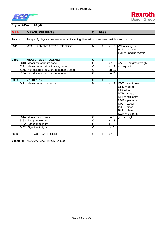



#### **Segment-Group: 20 (M)**

| <b>MEA</b> | <b>MEASUREMENTS</b>                                                                   | $\mathbf O$    | 9999 |      |                                                                                                                                                                                              |
|------------|---------------------------------------------------------------------------------------|----------------|------|------|----------------------------------------------------------------------------------------------------------------------------------------------------------------------------------------------|
| Function:  | To specify physical measurements, including dimension tolerances, weights and counts. |                |      |      |                                                                                                                                                                                              |
| 6311       | MEASUREMENT ATTRIBUTE CODE                                                            | M              | 1    | an.3 | $WT = Weights$<br>$VOL = Volume$<br>$LMT =$ Loading meters                                                                                                                                   |
| C502       | <b>MEASUREMENT DETAILS</b>                                                            | $\mathbf{o}$   | 1    |      |                                                                                                                                                                                              |
|            | 6313 Measured attribute code                                                          | $\circ$        |      | an.3 | $AAB = Unit$ gross weight                                                                                                                                                                    |
|            | 6321 Measurement significance, coded                                                  | $\overline{O}$ |      | an.3 | $4 =$ equal to                                                                                                                                                                               |
|            | 6155 Non-discrete measurement name code                                               | O              |      | an17 |                                                                                                                                                                                              |
|            | 6154 Non-discrete measurement name                                                    | $\circ$        |      | an70 |                                                                                                                                                                                              |
|            |                                                                                       |                |      |      |                                                                                                                                                                                              |
| C174       | <b>VALUE/RANGE</b>                                                                    | $\mathbf{o}$   | 1    |      |                                                                                                                                                                                              |
| 6411       | Measurement unit code                                                                 | M              |      | an.3 | $CMT =$ centimeter<br>$GRM = gram$<br>$LTR =$ litre<br>$MTR = metre$<br>$MLT =$ millimetre<br>$NMP = package$<br>$NPL = \text{parcel}$<br>$PCE = piece$<br>$BAR = plate$<br>$KGM = kilogram$ |
|            | 6314 Measurement value                                                                | O              |      |      | an18 $g$ ross weight                                                                                                                                                                         |
|            | 6162 Range minimum                                                                    | $\circ$        |      | n.18 |                                                                                                                                                                                              |
|            | 6152 Range maximum                                                                    | $\circ$        |      | n.18 |                                                                                                                                                                                              |
|            | 6432 Significant digits                                                               | O              |      | n.2  |                                                                                                                                                                                              |
|            |                                                                                       |                |      |      |                                                                                                                                                                                              |
| 7383       | SURFACE/LAYER CODE                                                                    | C              |      | an.3 |                                                                                                                                                                                              |

**Example:** MEA+AAI+AAB:4+KGM:14.800'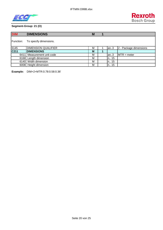



## **Segment-Group: 21 (O)**

| <b>DIM</b>                | <b>DIMENSIONS</b>          | M |        |                        |
|---------------------------|----------------------------|---|--------|------------------------|
| Function:                 | To specify dimensions.     |   |        |                        |
| 6145                      | <b>DIMENSION QUALIFIER</b> | M | an.3   | 2 - Package dimensions |
| $\overline{\text{C}}$ 211 | <b>DIMENSIONS</b>          | M |        |                        |
| 6411 I                    | Measurement unit code      | M | an.3   | $MTR = meter$          |
|                           | 6168 Length dimension      | M | n., 15 |                        |
| 6140                      | Width dimension            | M | n., 15 |                        |
|                           | 6008 Height dimension      | M | n 15   |                        |

**Example:** DIM+2+MTR:0.78:0.58:0.36'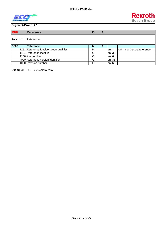



| <b>RFF</b> | <b>Reference</b>                        | O |       |                                    |
|------------|-----------------------------------------|---|-------|------------------------------------|
| Function:  | References                              |   |       |                                    |
| C506       | Reference                               | M |       |                                    |
|            | 1153 Reference funcition code qualifier | M | lan.3 | $CU = \text{consignors reference}$ |
|            | 1154 Reference identifier               | O | an35  |                                    |
|            | 1156 line number                        | O | an.6  |                                    |
|            | 4000 Refernece version identifier       | Ω | an35  |                                    |
|            | 1060 Revision number                    | Ω | an.6  |                                    |

**Example:** RFF+CU:1004577457'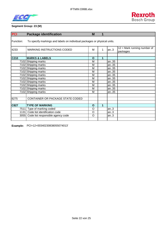

# **Segment Group: 23 (M)**

| <b>PCI</b> | <b>Package identification</b>                                            | M       | 1 |      |                                           |  |  |  |  |
|------------|--------------------------------------------------------------------------|---------|---|------|-------------------------------------------|--|--|--|--|
| Function:  | To specify markings and labels on individual packages or physical units. |         |   |      |                                           |  |  |  |  |
| 4233       | <b>MARKING INSTRUCTIONS CODED</b>                                        | М       | 1 | an.3 | $12$ = Mark running number of<br>packages |  |  |  |  |
| C210       | <b>MARKS &amp; LABELS</b>                                                | O       | 1 |      |                                           |  |  |  |  |
|            | 7102 Shipping marks                                                      | M       |   | an35 |                                           |  |  |  |  |
|            | 7102 Shipping marks                                                      | M       |   | an35 |                                           |  |  |  |  |
|            | 7102 Shipping marks                                                      | M       |   | an35 |                                           |  |  |  |  |
|            | 7102 Shipping marks                                                      | M       |   | an35 |                                           |  |  |  |  |
|            | 7102 Shipping marks                                                      | M       |   | an35 |                                           |  |  |  |  |
|            | 7102 Shipping marks                                                      | M       |   | an35 |                                           |  |  |  |  |
|            | 7102 Shipping marks                                                      | М       |   | an35 |                                           |  |  |  |  |
|            | 7102 Shipping marks                                                      | M       |   | an35 |                                           |  |  |  |  |
|            | 7102 Shipping marks                                                      | M       |   | an35 |                                           |  |  |  |  |
|            | 7102 Shipping marks                                                      | M       |   | an35 |                                           |  |  |  |  |
|            |                                                                          |         |   |      |                                           |  |  |  |  |
| 8275       | CONTAINER OR PACKAGE STATE CODED                                         |         |   |      |                                           |  |  |  |  |
|            |                                                                          |         |   |      |                                           |  |  |  |  |
| C827       | <b>TYPE OF MARKING</b>                                                   | O       | 1 |      |                                           |  |  |  |  |
|            | 7511 Type of marking coded                                               | O       |   | an.3 |                                           |  |  |  |  |
|            | 1131 Code list identification code                                       | O       |   | an.3 |                                           |  |  |  |  |
| 3055       | Code list responsible agency code                                        | $\circ$ |   | an.3 |                                           |  |  |  |  |
|            |                                                                          |         |   |      |                                           |  |  |  |  |

**Example:** PCI+12+00340230838055074013'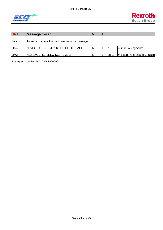IFTMIN D99B.xlsx





| <b>UNT</b> | Message trailer                                | M |        |                              |
|------------|------------------------------------------------|---|--------|------------------------------|
| Function:  | To end and check the completeness of a message |   |        |                              |
| 0074       | <b>INUMBER OF SEGMENTS IN THE MESSAGE</b>      | м | In $6$ | number of segments           |
|            |                                                |   |        |                              |
| 0062       | IMESSAGE REFERECNCE NUMBER                     | M | an.14  | message reference (like UNH) |

**Example:** UNT+15+00000910000001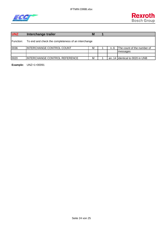



| <b>UNZ</b> | Interchange trailer                                 | M |    |                              |
|------------|-----------------------------------------------------|---|----|------------------------------|
| IFunction: | To end and check the completeness of an interchange |   |    |                              |
| 0036       | INTERCHANGE CONTROL COUNT                           | м | n6 | The count of the number of   |
|            |                                                     |   |    | messages                     |
|            |                                                     |   |    |                              |
| 0020       | IINTERCHANGE CONTROL REFERENCE                      | M |    | an14 dentical to 0020 in UNB |

**Example:** UNZ+1+00091